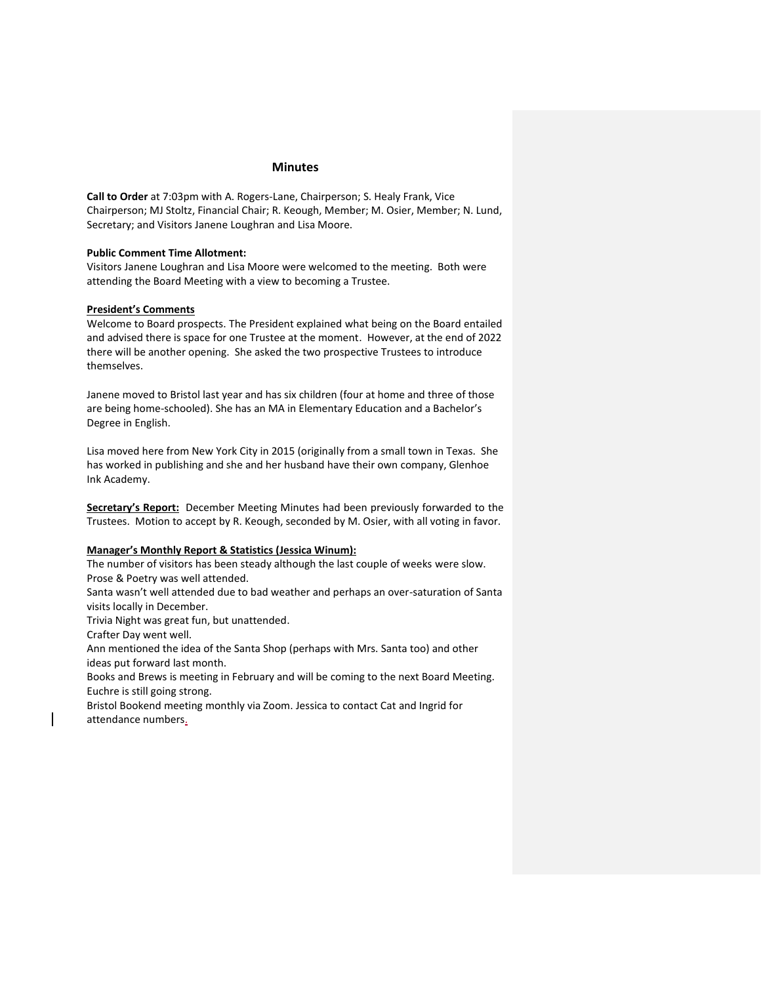### **Minutes**

**Call to Order** at 7:03pm with A. Rogers-Lane, Chairperson; S. Healy Frank, Vice Chairperson; MJ Stoltz, Financial Chair; R. Keough, Member; M. Osier, Member; N. Lund, Secretary; and Visitors Janene Loughran and Lisa Moore.

# **Public Comment Time Allotment:**

Visitors Janene Loughran and Lisa Moore were welcomed to the meeting. Both were attending the Board Meeting with a view to becoming a Trustee.

## **President's Comments**

Welcome to Board prospects. The President explained what being on the Board entailed and advised there is space for one Trustee at the moment. However, at the end of 2022 there will be another opening. She asked the two prospective Trustees to introduce themselves.

Janene moved to Bristol last year and has six children (four at home and three of those are being home-schooled). She has an MA in Elementary Education and a Bachelor's Degree in English.

Lisa moved here from New York City in 2015 (originally from a small town in Texas. She has worked in publishing and she and her husband have their own company, Glenhoe Ink Academy.

**Secretary's Report:** December Meeting Minutes had been previously forwarded to the Trustees. Motion to accept by R. Keough, seconded by M. Osier, with all voting in favor.

#### **Manager's Monthly Report & Statistics (Jessica Winum):**

The number of visitors has been steady although the last couple of weeks were slow. Prose & Poetry was well attended.

Santa wasn't well attended due to bad weather and perhaps an over-saturation of Santa visits locally in December.

Trivia Night was great fun, but unattended.

Crafter Day went well.

Ann mentioned the idea of the Santa Shop (perhaps with Mrs. Santa too) and other ideas put forward last month.

Books and Brews is meeting in February and will be coming to the next Board Meeting. Euchre is still going strong.

Bristol Bookend meeting monthly via Zoom. Jessica to contact Cat and Ingrid for attendance numbers.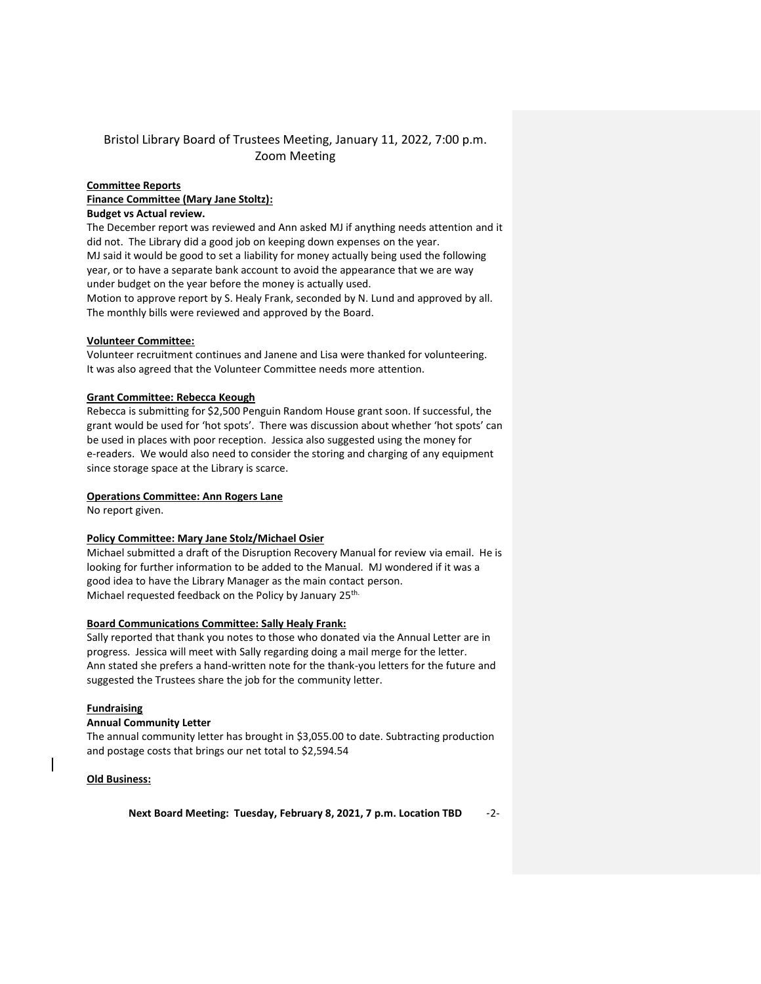# Bristol Library Board of Trustees Meeting, January 11, 2022, 7:00 p.m. Zoom Meeting

# **Committee Reports Finance Committee (Mary Jane Stoltz): Budget vs Actual review.**

The December report was reviewed and Ann asked MJ if anything needs attention and it did not. The Library did a good job on keeping down expenses on the year. MJ said it would be good to set a liability for money actually being used the following year, or to have a separate bank account to avoid the appearance that we are way under budget on the year before the money is actually used. Motion to approve report by S. Healy Frank, seconded by N. Lund and approved by all.

## **Volunteer Committee:**

Volunteer recruitment continues and Janene and Lisa were thanked for volunteering. It was also agreed that the Volunteer Committee needs more attention.

The monthly bills were reviewed and approved by the Board.

## **Grant Committee: Rebecca Keough**

Rebecca is submitting for \$2,500 Penguin Random House grant soon. If successful, the grant would be used for 'hot spots'. There was discussion about whether 'hot spots' can be used in places with poor reception. Jessica also suggested using the money for e-readers. We would also need to consider the storing and charging of any equipment since storage space at the Library is scarce.

#### **Operations Committee: Ann Rogers Lane**

No report given.

### **Policy Committee: Mary Jane Stolz/Michael Osier**

Michael submitted a draft of the Disruption Recovery Manual for review via email. He is looking for further information to be added to the Manual. MJ wondered if it was a good idea to have the Library Manager as the main contact person. Michael requested feedback on the Policy by January 25<sup>th.</sup>

#### **Board Communications Committee: Sally Healy Frank:**

Sally reported that thank you notes to those who donated via the Annual Letter are in progress. Jessica will meet with Sally regarding doing a mail merge for the letter. Ann stated she prefers a hand-written note for the thank-you letters for the future and suggested the Trustees share the job for the community letter.

#### **Fundraising**

#### **Annual Community Letter**

The annual community letter has brought in \$3,055.00 to date. Subtracting production and postage costs that brings our net total to \$2,594.54

#### **Old Business:**

**Next Board Meeting: Tuesday, February 8, 2021, 7 p.m. Location TBD** -2-